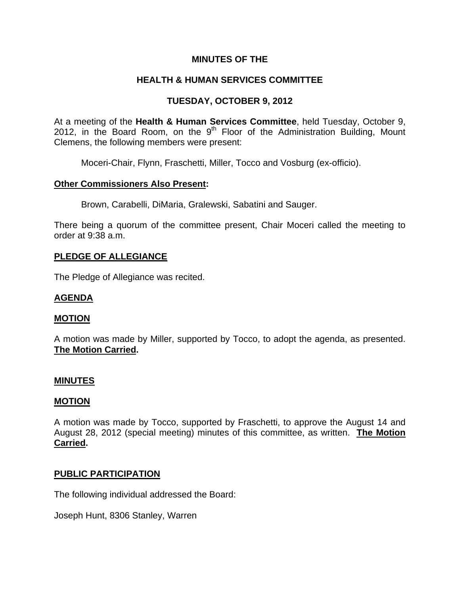## **MINUTES OF THE**

# **HEALTH & HUMAN SERVICES COMMITTEE**

# **TUESDAY, OCTOBER 9, 2012**

At a meeting of the **Health & Human Services Committee**, held Tuesday, October 9, 2012, in the Board Room, on the 9<sup>th</sup> Floor of the Administration Building, Mount Clemens, the following members were present:

Moceri-Chair, Flynn, Fraschetti, Miller, Tocco and Vosburg (ex-officio).

### **Other Commissioners Also Present:**

Brown, Carabelli, DiMaria, Gralewski, Sabatini and Sauger.

There being a quorum of the committee present, Chair Moceri called the meeting to order at 9:38 a.m.

### **PLEDGE OF ALLEGIANCE**

The Pledge of Allegiance was recited.

## **AGENDA**

### **MOTION**

A motion was made by Miller, supported by Tocco, to adopt the agenda, as presented. **The Motion Carried.** 

### **MINUTES**

### **MOTION**

A motion was made by Tocco, supported by Fraschetti, to approve the August 14 and August 28, 2012 (special meeting) minutes of this committee, as written. **The Motion Carried.** 

### **PUBLIC PARTICIPATION**

The following individual addressed the Board:

Joseph Hunt, 8306 Stanley, Warren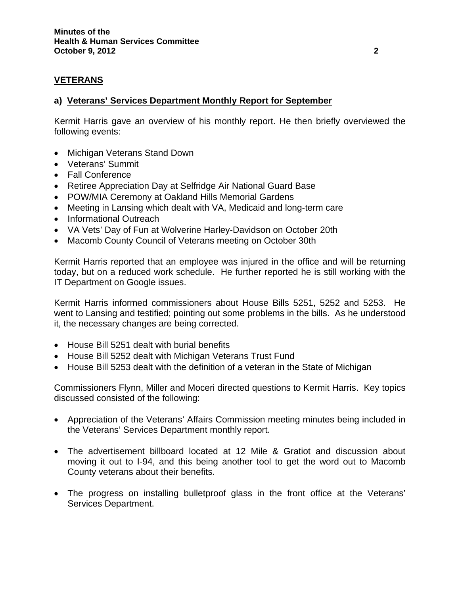# **VETERANS**

## **a) Veterans' Services Department Monthly Report for September**

Kermit Harris gave an overview of his monthly report. He then briefly overviewed the following events:

- Michigan Veterans Stand Down
- Veterans' Summit
- Fall Conference
- Retiree Appreciation Day at Selfridge Air National Guard Base
- POW/MIA Ceremony at Oakland Hills Memorial Gardens
- Meeting in Lansing which dealt with VA, Medicaid and long-term care
- Informational Outreach
- VA Vets' Day of Fun at Wolverine Harley-Davidson on October 20th
- Macomb County Council of Veterans meeting on October 30th

Kermit Harris reported that an employee was injured in the office and will be returning today, but on a reduced work schedule. He further reported he is still working with the IT Department on Google issues.

Kermit Harris informed commissioners about House Bills 5251, 5252 and 5253. He went to Lansing and testified; pointing out some problems in the bills. As he understood it, the necessary changes are being corrected.

- House Bill 5251 dealt with burial benefits
- House Bill 5252 dealt with Michigan Veterans Trust Fund
- House Bill 5253 dealt with the definition of a veteran in the State of Michigan

Commissioners Flynn, Miller and Moceri directed questions to Kermit Harris. Key topics discussed consisted of the following:

- Appreciation of the Veterans' Affairs Commission meeting minutes being included in the Veterans' Services Department monthly report.
- The advertisement billboard located at 12 Mile & Gratiot and discussion about moving it out to I-94, and this being another tool to get the word out to Macomb County veterans about their benefits.
- The progress on installing bulletproof glass in the front office at the Veterans' Services Department.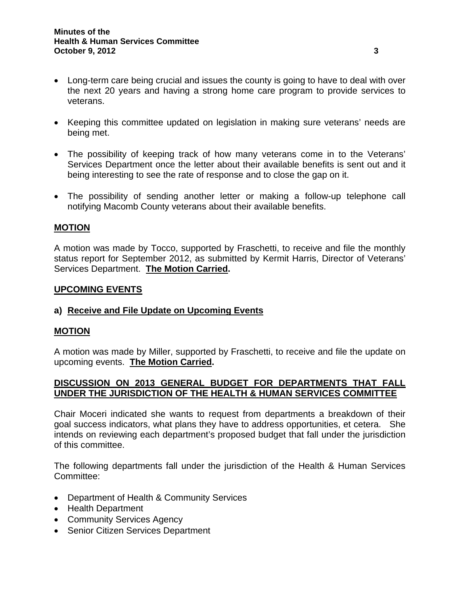- Long-term care being crucial and issues the county is going to have to deal with over the next 20 years and having a strong home care program to provide services to veterans.
- Keeping this committee updated on legislation in making sure veterans' needs are being met.
- The possibility of keeping track of how many veterans come in to the Veterans' Services Department once the letter about their available benefits is sent out and it being interesting to see the rate of response and to close the gap on it.
- The possibility of sending another letter or making a follow-up telephone call notifying Macomb County veterans about their available benefits.

### **MOTION**

A motion was made by Tocco, supported by Fraschetti, to receive and file the monthly status report for September 2012, as submitted by Kermit Harris, Director of Veterans' Services Department. **The Motion Carried.** 

### **UPCOMING EVENTS**

### **a) Receive and File Update on Upcoming Events**

### **MOTION**

A motion was made by Miller, supported by Fraschetti, to receive and file the update on upcoming events. **The Motion Carried.** 

### **DISCUSSION ON 2013 GENERAL BUDGET FOR DEPARTMENTS THAT FALL UNDER THE JURISDICTION OF THE HEALTH & HUMAN SERVICES COMMITTEE**

Chair Moceri indicated she wants to request from departments a breakdown of their goal success indicators, what plans they have to address opportunities, et cetera. She intends on reviewing each department's proposed budget that fall under the jurisdiction of this committee.

The following departments fall under the jurisdiction of the Health & Human Services Committee:

- Department of Health & Community Services
- Health Department
- Community Services Agency
- Senior Citizen Services Department